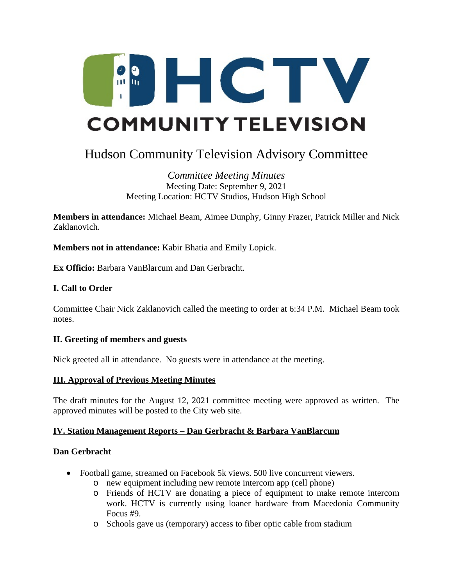

# Hudson Community Television Advisory Committee

## *Committee Meeting Minutes* Meeting Date: September 9, 2021 Meeting Location: HCTV Studios, Hudson High School

**Members in attendance:** Michael Beam, Aimee Dunphy, Ginny Frazer, Patrick Miller and Nick Zaklanovich.

**Members not in attendance:** Kabir Bhatia and Emily Lopick.

**Ex Officio:** Barbara VanBlarcum and Dan Gerbracht.

# **I. Call to Order**

Committee Chair Nick Zaklanovich called the meeting to order at 6:34 P.M. Michael Beam took notes.

## **II. Greeting of members and guests**

Nick greeted all in attendance. No guests were in attendance at the meeting.

## **III. Approval of Previous Meeting Minutes**

The draft minutes for the August 12, 2021 committee meeting were approved as written. The approved minutes will be posted to the City web site.

## **IV. Station Management Reports – Dan Gerbracht & Barbara VanBlarcum**

#### **Dan Gerbracht**

- Football game, streamed on Facebook 5k views. 500 live concurrent viewers.
	- o new equipment including new remote intercom app (cell phone)
	- o Friends of HCTV are donating a piece of equipment to make remote intercom work. HCTV is currently using loaner hardware from Macedonia Community Focus #9.
	- o Schools gave us (temporary) access to fiber optic cable from stadium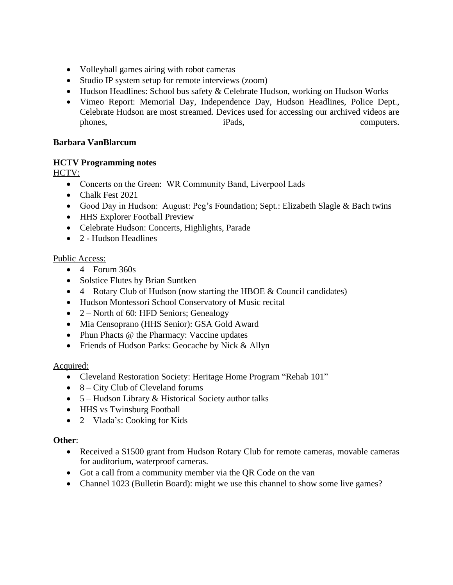- Volleyball games airing with robot cameras
- Studio IP system setup for remote interviews (zoom)
- Hudson Headlines: School bus safety & Celebrate Hudson, working on Hudson Works
- Vimeo Report: Memorial Day, Independence Day, Hudson Headlines, Police Dept., Celebrate Hudson are most streamed. Devices used for accessing our archived videos are phones, iPads, iPads, computers.

## **Barbara VanBlarcum**

## **HCTV Programming notes**

HCTV:

- Concerts on the Green: WR Community Band, Liverpool Lads
- Chalk Fest 2021
- Good Day in Hudson: August: Peg's Foundation; Sept.: Elizabeth Slagle & Bach twins
- HHS Explorer Football Preview
- Celebrate Hudson: Concerts, Highlights, Parade
- 2 Hudson Headlines

#### Public Access:

- $\bullet$  4 Forum 360s
- Solstice Flutes by Brian Suntken
- $\bullet$  4 Rotary Club of Hudson (now starting the HBOE & Council candidates)
- Hudson Montessori School Conservatory of Music recital
- 2 North of 60: HFD Seniors; Genealogy
- Mia Censoprano (HHS Senior): GSA Gold Award
- Phun Phacts @ the Pharmacy: Vaccine updates
- Friends of Hudson Parks: Geocache by Nick & Allyn

#### Acquired:

- Cleveland Restoration Society: Heritage Home Program "Rehab 101"
- $\bullet$  8 City Club of Cleveland forums
- $\bullet$  5 Hudson Library & Historical Society author talks
- HHS vs Twinsburg Football
- $\bullet$  2 Vlada's: Cooking for Kids

#### **Other**:

- Received a \$1500 grant from Hudson Rotary Club for remote cameras, movable cameras for auditorium, waterproof cameras.
- Got a call from a community member via the QR Code on the van
- Channel 1023 (Bulletin Board): might we use this channel to show some live games?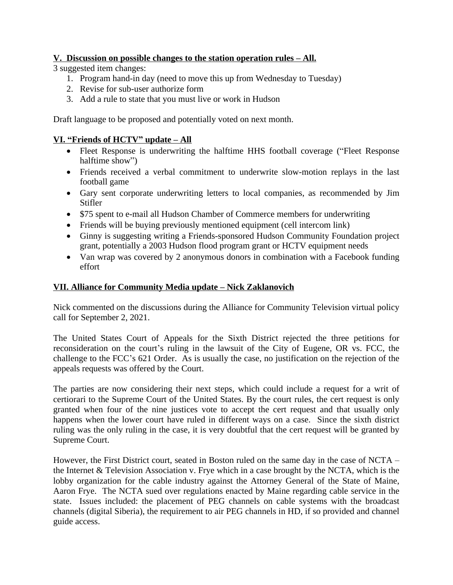## **<u>V.** Discussion on possible changes to the station operation rules – All.</u>

3 suggested item changes:

- 1. Program hand-in day (need to move this up from Wednesday to Tuesday)
- 2. Revise for sub-user authorize form
- 3. Add a rule to state that you must live or work in Hudson

Draft language to be proposed and potentially voted on next month.

# **VI. "Friends of HCTV" update – All**

- Fleet Response is underwriting the halftime HHS football coverage ("Fleet Response" halftime show")
- Friends received a verbal commitment to underwrite slow-motion replays in the last football game
- Gary sent corporate underwriting letters to local companies, as recommended by Jim Stifler
- \$75 spent to e-mail all Hudson Chamber of Commerce members for underwriting
- Friends will be buying previously mentioned equipment (cell intercom link)
- Ginny is suggesting writing a Friends-sponsored Hudson Community Foundation project grant, potentially a 2003 Hudson flood program grant or HCTV equipment needs
- Van wrap was covered by 2 anonymous donors in combination with a Facebook funding effort

## **VII. Alliance for Community Media update – Nick Zaklanovich**

Nick commented on the discussions during the Alliance for Community Television virtual policy call for September 2, 2021.

The United States Court of Appeals for the Sixth District rejected the three petitions for reconsideration on the court's ruling in the lawsuit of the City of Eugene, OR vs. FCC, the challenge to the FCC's 621 Order. As is usually the case, no justification on the rejection of the appeals requests was offered by the Court.

The parties are now considering their next steps, which could include a request for a writ of certiorari to the Supreme Court of the United States. By the court rules, the cert request is only granted when four of the nine justices vote to accept the cert request and that usually only happens when the lower court have ruled in different ways on a case. Since the sixth district ruling was the only ruling in the case, it is very doubtful that the cert request will be granted by Supreme Court.

However, the First District court, seated in Boston ruled on the same day in the case of NCTA – the Internet & Television Association v. Frye which in a case brought by the NCTA, which is the lobby organization for the cable industry against the Attorney General of the State of Maine, Aaron Frye. The NCTA sued over regulations enacted by Maine regarding cable service in the state. Issues included: the placement of PEG channels on cable systems with the broadcast channels (digital Siberia), the requirement to air PEG channels in HD, if so provided and channel guide access.